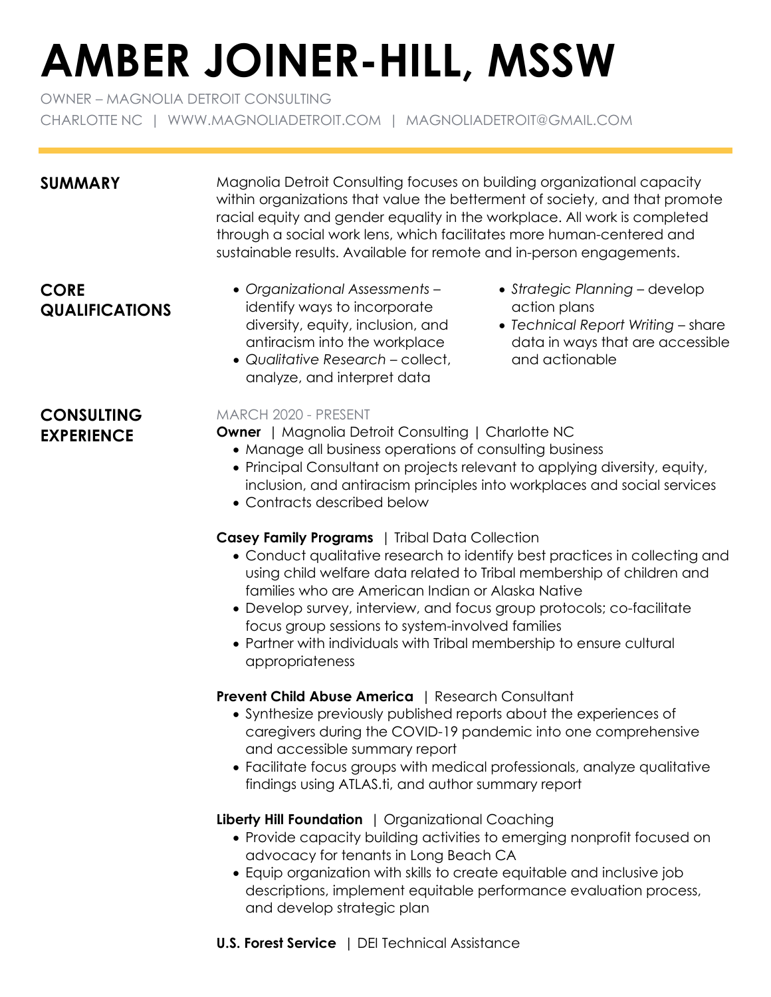# **AMBER JOINER-HILL, MSSW**

OWNER – MAGNOLIA DETROIT CONSULTING CHARLOTTE NC | WWW.MAGNOLIADETROIT.COM | MAGNOLIADETROIT@GMAIL.COM

**SUMMARY** Magnolia Detroit Consulting focuses on building organizational capacity within organizations that value the betterment of society, and that promote racial equity and gender equality in the workplace. All work is completed through a social work lens, which facilitates more human-centered and sustainable results. Available for remote and in-person engagements.

# **CORE QUALIFICATIONS**

- *Organizational Assessments* identify ways to incorporate diversity, equity, inclusion, and antiracism into the workplace
- *Qualitative Research* collect, analyze, and interpret data
- *Strategic Planning* develop action plans
- *Technical Report Writing* share data in ways that are accessible and actionable

# **CONSULTING EXPERIENCE**

## MARCH 2020 - PRESENT

**Owner** | Magnolia Detroit Consulting | Charlotte NC

- Manage all business operations of consulting business
- Principal Consultant on projects relevant to applying diversity, equity, inclusion, and antiracism principles into workplaces and social services
- Contracts described below

# **Casey Family Programs** | Tribal Data Collection

- Conduct qualitative research to identify best practices in collecting and using child welfare data related to Tribal membership of children and families who are American Indian or Alaska Native
- Develop survey, interview, and focus group protocols; co-facilitate focus group sessions to system-involved families
- Partner with individuals with Tribal membership to ensure cultural appropriateness

# **Prevent Child Abuse America** | Research Consultant

- Synthesize previously published reports about the experiences of caregivers during the COVID-19 pandemic into one comprehensive and accessible summary report
- Facilitate focus groups with medical professionals, analyze qualitative findings using ATLAS.ti, and author summary report

# **Liberty Hill Foundation** | Organizational Coaching

- Provide capacity building activities to emerging nonprofit focused on advocacy for tenants in Long Beach CA
- Equip organization with skills to create equitable and inclusive job descriptions, implement equitable performance evaluation process, and develop strategic plan
- **U.S. Forest Service** | DEI Technical Assistance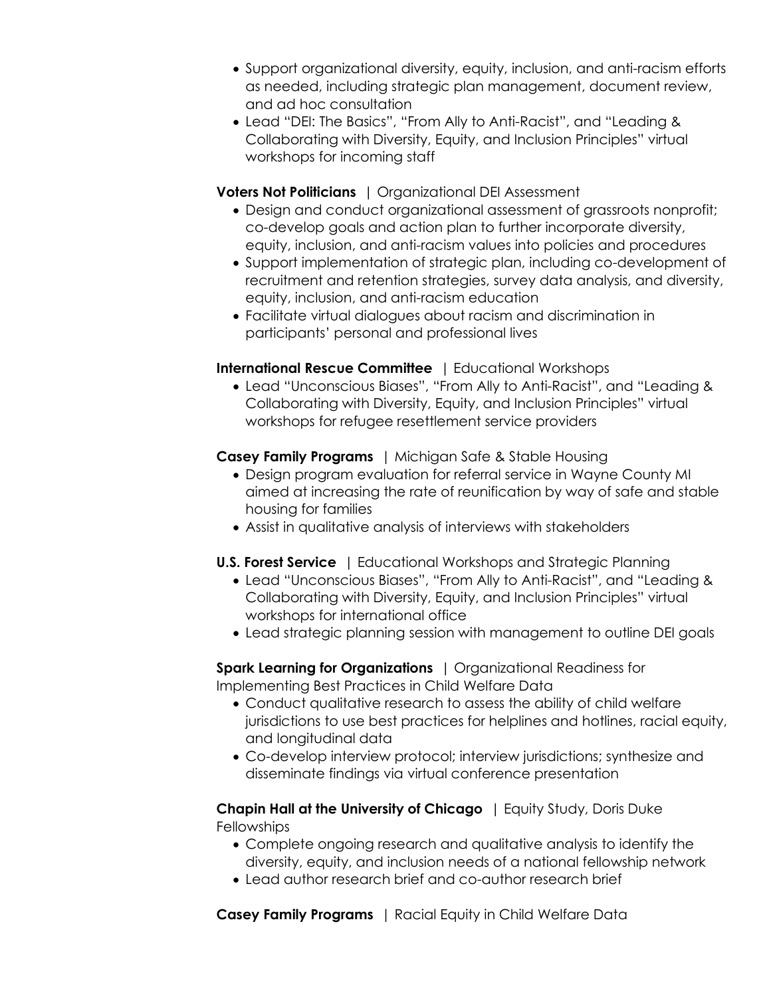- Support organizational diversity, equity, inclusion, and anti-racism efforts as needed, including strategic plan management, document review, and ad hoc consultation
- Lead "DEI: The Basics", "From Ally to Anti-Racist", and "Leading & Collaborating with Diversity, Equity, and Inclusion Principles" virtual workshops for incoming staff

#### **Voters Not Politicians** | Organizational DEI Assessment

- Design and conduct organizational assessment of grassroots nonprofit; co-develop goals and action plan to further incorporate diversity, equity, inclusion, and anti-racism values into policies and procedures
- Support implementation of strategic plan, including co-development of recruitment and retention strategies, survey data analysis, and diversity, equity, inclusion, and anti-racism education
- Facilitate virtual dialogues about racism and discrimination in participants' personal and professional lives

## **International Rescue Committee** | Educational Workshops

• Lead "Unconscious Biases", "From Ally to Anti-Racist", and "Leading & Collaborating with Diversity, Equity, and Inclusion Principles" virtual workshops for refugee resettlement service providers

## **Casey Family Programs** | Michigan Safe & Stable Housing

- Design program evaluation for referral service in Wayne County MI aimed at increasing the rate of reunification by way of safe and stable housing for families
- Assist in qualitative analysis of interviews with stakeholders
- **U.S. Forest Service** | Educational Workshops and Strategic Planning
	- Lead "Unconscious Biases", "From Ally to Anti-Racist", and "Leading & Collaborating with Diversity, Equity, and Inclusion Principles" virtual workshops for international office
	- Lead strategic planning session with management to outline DEI goals

**Spark Learning for Organizations** | Organizational Readiness for Implementing Best Practices in Child Welfare Data

- Conduct qualitative research to assess the ability of child welfare jurisdictions to use best practices for helplines and hotlines, racial equity, and longitudinal data
- Co-develop interview protocol; interview jurisdictions; synthesize and disseminate findings via virtual conference presentation

**Chapin Hall at the University of Chicago** | Equity Study, Doris Duke **Fellowships** 

- Complete ongoing research and qualitative analysis to identify the diversity, equity, and inclusion needs of a national fellowship network
- Lead author research brief and co-author research brief

**Casey Family Programs** | Racial Equity in Child Welfare Data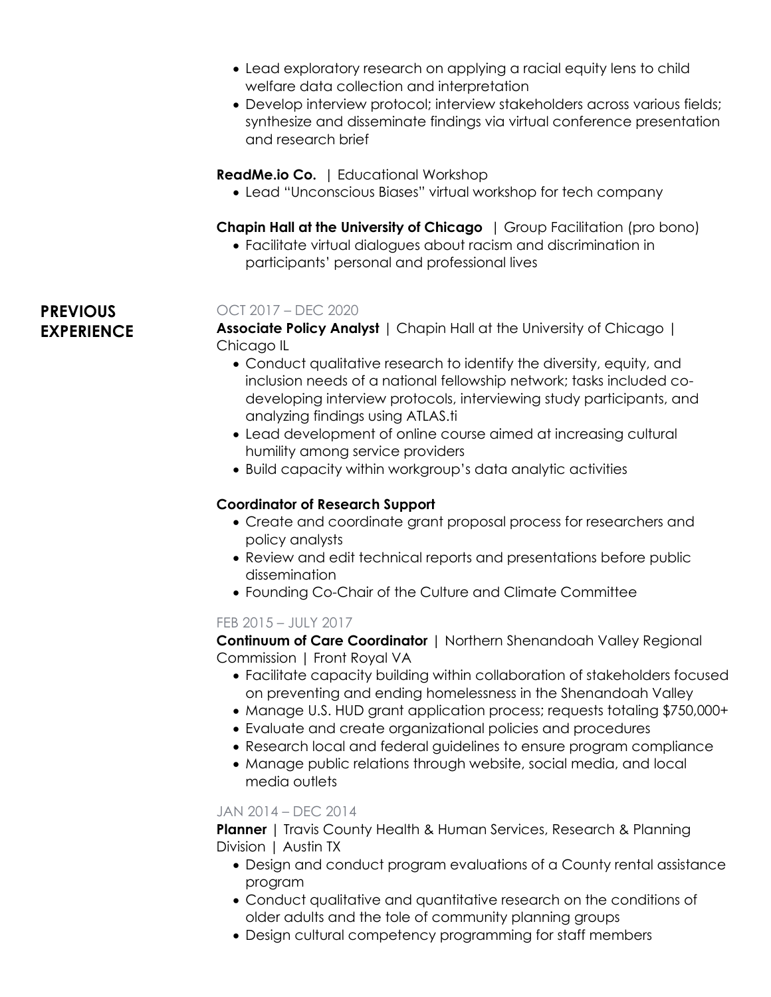- Lead exploratory research on applying a racial equity lens to child welfare data collection and interpretation
- Develop interview protocol; interview stakeholders across various fields; synthesize and disseminate findings via virtual conference presentation and research brief

#### **ReadMe.io Co.** | Educational Workshop

• Lead "Unconscious Biases" virtual workshop for tech company

**Chapin Hall at the University of Chicago** | Group Facilitation (pro bono)

• Facilitate virtual dialogues about racism and discrimination in participants' personal and professional lives

#### OCT 2017 – DEC 2020

**Associate Policy Analyst** | Chapin Hall at the University of Chicago | Chicago IL

- Conduct qualitative research to identify the diversity, equity, and inclusion needs of a national fellowship network; tasks included codeveloping interview protocols, interviewing study participants, and analyzing findings using ATLAS.ti
- Lead development of online course aimed at increasing cultural humility among service providers
- Build capacity within workgroup's data analytic activities

#### **Coordinator of Research Support**

- Create and coordinate grant proposal process for researchers and policy analysts
- Review and edit technical reports and presentations before public dissemination
- Founding Co-Chair of the Culture and Climate Committee

#### FEB 2015 – JULY 2017

**Continuum of Care Coordinator** | Northern Shenandoah Valley Regional Commission | Front Royal VA

- Facilitate capacity building within collaboration of stakeholders focused on preventing and ending homelessness in the Shenandoah Valley
- Manage U.S. HUD grant application process; requests totaling \$750,000+
- Evaluate and create organizational policies and procedures
- Research local and federal guidelines to ensure program compliance
- Manage public relations through website, social media, and local media outlets

#### JAN 2014 – DEC 2014

**Planner** | Travis County Health & Human Services, Research & Planning Division | Austin TX

- Design and conduct program evaluations of a County rental assistance program
- Conduct qualitative and quantitative research on the conditions of older adults and the tole of community planning groups
- Design cultural competency programming for staff members

# **PREVIOUS EXPERIENCE**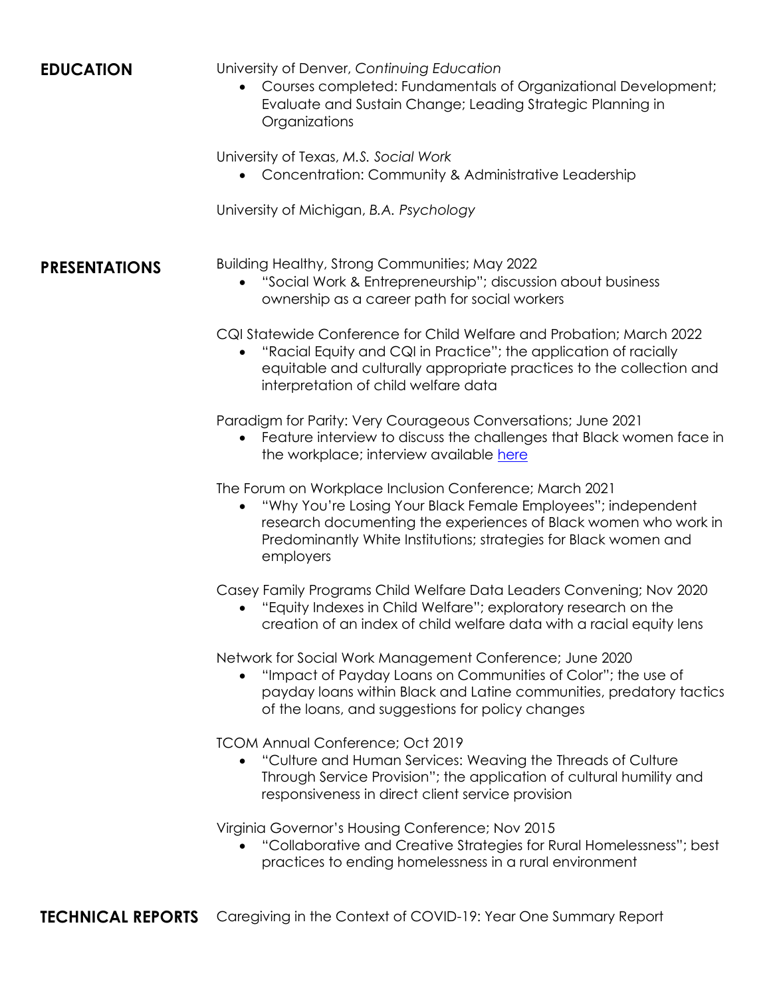**EDUCATION** University of Denver, *Continuing Education*

• Courses completed: Fundamentals of Organizational Development; Evaluate and Sustain Change; Leading Strategic Planning in Organizations

University of Texas, *M.S. Social Work*

• Concentration: Community & Administrative Leadership

University of Michigan, *B.A. Psychology*

**PRESENTATIONS** Building Healthy, Strong Communities; May 2022

• "Social Work & Entrepreneurship"; discussion about business ownership as a career path for social workers

CQI Statewide Conference for Child Welfare and Probation; March 2022

• "Racial Equity and CQI in Practice"; the application of racially equitable and culturally appropriate practices to the collection and interpretation of child welfare data

Paradigm for Parity: Very Courageous Conversations; June 2021

• Feature interview to discuss the challenges that Black women face in the workplace; interview available [here](https://www.youtube.com/watch?v=2dRdbEPtQ94)

The Forum on Workplace Inclusion Conference; March 2021

• "Why You're Losing Your Black Female Employees"; independent research documenting the experiences of Black women who work in Predominantly White Institutions; strategies for Black women and employers

Casey Family Programs Child Welfare Data Leaders Convening; Nov 2020

• "Equity Indexes in Child Welfare"; exploratory research on the creation of an index of child welfare data with a racial equity lens

Network for Social Work Management Conference; June 2020

• "Impact of Payday Loans on Communities of Color"; the use of payday loans within Black and Latine communities, predatory tactics of the loans, and suggestions for policy changes

TCOM Annual Conference; Oct 2019

• "Culture and Human Services: Weaving the Threads of Culture Through Service Provision"; the application of cultural humility and responsiveness in direct client service provision

Virginia Governor's Housing Conference; Nov 2015

• "Collaborative and Creative Strategies for Rural Homelessness"; best practices to ending homelessness in a rural environment